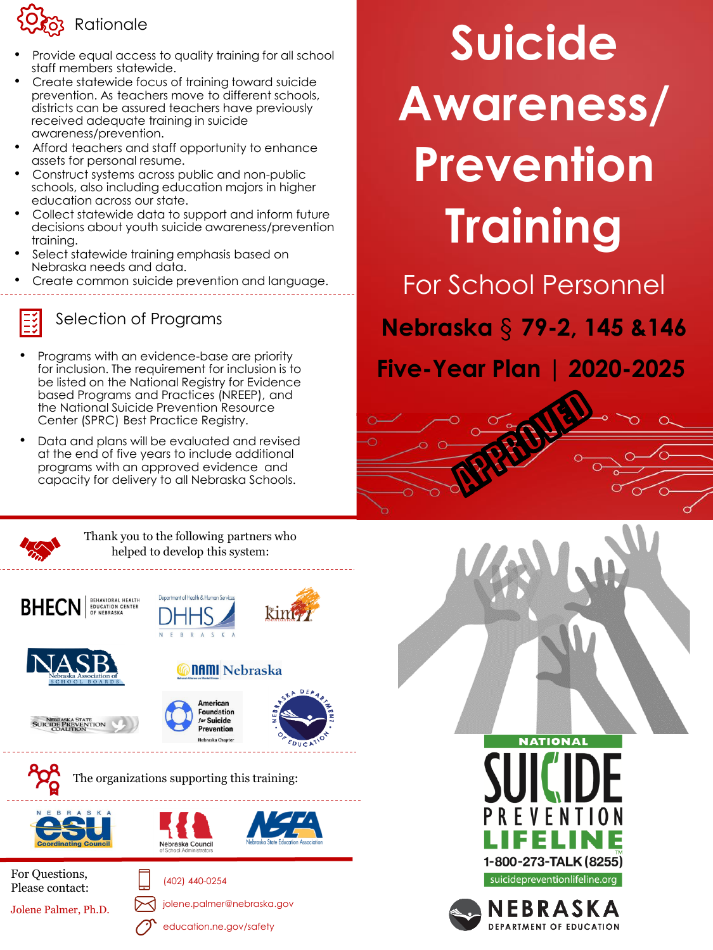

- Provide equal access to quality training for all school staff members statewide.
- Create statewide focus of training toward suicide prevention. As teachers move to different schools, districts can be assured teachers have previously received adequate training in suicide awareness/prevention.
- Afford teachers and staff opportunity to enhance assets for personal resume.
- Construct systems across public and non-public schools, also including education majors in higher education across our state.
- Collect statewide data to support and inform future decisions about youth suicide awareness/prevention training.
- Select statewide training emphasis based on Nebraska needs and data.
- Create common suicide prevention and language.



### Selection of Programs

- Programs with an evidence-base are priority for inclusion. The requirement for inclusion is to be listed on the National Registry for Evidence based Programs and Practices (NREEP), and the National Suicide Prevention Resource Center (SPRC) Best Practice Registry.
- Data and plans will be evaluated and revised at the end of five years to include additional programs with an approved evidence and capacity for delivery to all Nebraska Schools.

# **Suicide Awareness/ Prevention Training**

For School Personnel

**Nebraska** § **79-2, 145 &146** 

**Five-Year Plan | 2020-2025**



Thank you to the following partners who helped to develop this system:

















The organizations supporting this training:

(402) 440-0254







For Questions, Please contact:

Jolene Palmer, Ph.D.





education.ne.gov/safety



suicidepreventionlifeline.org

NEBRASKA **DEPARTMENT OF EDUCATION**